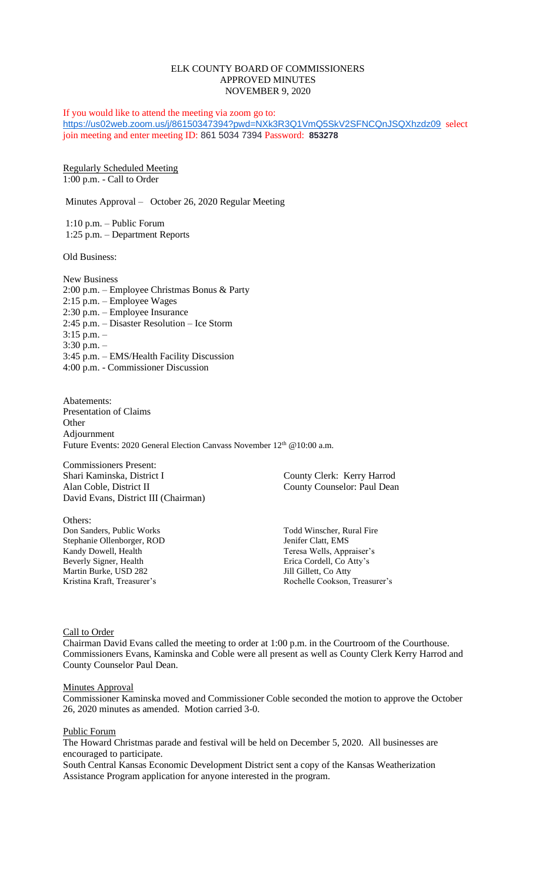# ELK COUNTY BOARD OF COMMISSIONERS APPROVED MINUTES NOVEMBER 9, 2020

If you would like to attend the meeting via zoom go to: <https://us02web.zoom.us/j/86150347394?pwd=NXk3R3Q1VmQ5SkV2SFNCQnJSQXhzdz09> select join meeting and enter meeting ID: 861 5034 7394 Password: **853278**

Regularly Scheduled Meeting 1:00 p.m. - Call to Order

Minutes Approval – October 26, 2020 Regular Meeting

1:10 p.m. – Public Forum 1:25 p.m. – Department Reports

Old Business:

New Business 2:00 p.m. – Employee Christmas Bonus & Party 2:15 p.m. – Employee Wages 2:30 p.m. – Employee Insurance 2:45 p.m. – Disaster Resolution – Ice Storm 3:15 p.m. – 3:30 p.m. – 3:45 p.m. – EMS/Health Facility Discussion 4:00 p.m. - Commissioner Discussion

Abatements: Presentation of Claims **Other** Adjournment Future Events: 2020 General Election Canvass November 12<sup>th</sup> @10:00 a.m.

Commissioners Present: Shari Kaminska, District I County Clerk: Kerry Harrod<br>Alan Coble, District II County Counselor: Paul Dear David Evans, District III (Chairman)

Others: Don Sanders, Public Works Todd Winscher, Rural Fire Stephanie Ollenborger, ROD Jenifer Clatt, EMS Kandy Dowell, Health Teresa Wells, Appraiser's Beverly Signer, Health Erica Cordell, Co Atty's Martin Burke, USD 282 Jill Gillett, Co Atty

County Counselor: Paul Dean

Kristina Kraft, Treasurer's **Rochelle Cookson, Treasurer's** Rochelle Cookson, Treasurer's

Call to Order

Chairman David Evans called the meeting to order at 1:00 p.m. in the Courtroom of the Courthouse. Commissioners Evans, Kaminska and Coble were all present as well as County Clerk Kerry Harrod and County Counselor Paul Dean.

**Minutes Approval** 

Commissioner Kaminska moved and Commissioner Coble seconded the motion to approve the October 26, 2020 minutes as amended. Motion carried 3-0.

Public Forum

The Howard Christmas parade and festival will be held on December 5, 2020. All businesses are encouraged to participate.

South Central Kansas Economic Development District sent a copy of the Kansas Weatherization Assistance Program application for anyone interested in the program.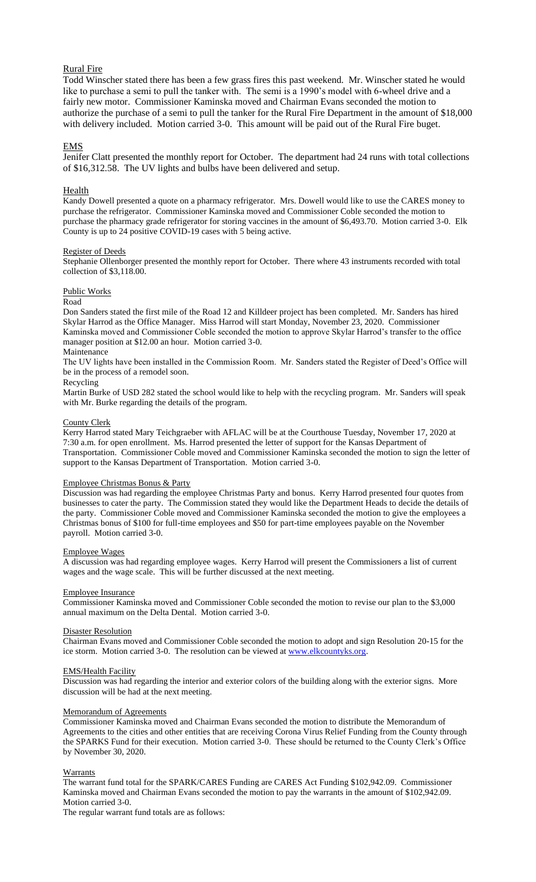# Rural Fire

Todd Winscher stated there has been a few grass fires this past weekend. Mr. Winscher stated he would like to purchase a semi to pull the tanker with. The semi is a 1990's model with 6-wheel drive and a fairly new motor. Commissioner Kaminska moved and Chairman Evans seconded the motion to authorize the purchase of a semi to pull the tanker for the Rural Fire Department in the amount of \$18,000 with delivery included. Motion carried 3-0. This amount will be paid out of the Rural Fire buget.

## EMS

Jenifer Clatt presented the monthly report for October. The department had 24 runs with total collections of \$16,312.58. The UV lights and bulbs have been delivered and setup.

## Health

Kandy Dowell presented a quote on a pharmacy refrigerator. Mrs. Dowell would like to use the CARES money to purchase the refrigerator. Commissioner Kaminska moved and Commissioner Coble seconded the motion to purchase the pharmacy grade refrigerator for storing vaccines in the amount of \$6,493.70. Motion carried 3-0. Elk County is up to 24 positive COVID-19 cases with 5 being active.

#### Register of Deeds

Stephanie Ollenborger presented the monthly report for October. There where 43 instruments recorded with total collection of \$3,118.00.

# Public Works

### Road

Don Sanders stated the first mile of the Road 12 and Killdeer project has been completed. Mr. Sanders has hired Skylar Harrod as the Office Manager. Miss Harrod will start Monday, November 23, 2020. Commissioner Kaminska moved and Commissioner Coble seconded the motion to approve Skylar Harrod's transfer to the office manager position at \$12.00 an hour. Motion carried 3-0.

## Maintenance

The UV lights have been installed in the Commission Room. Mr. Sanders stated the Register of Deed's Office will be in the process of a remodel soon.

## Recycling

Martin Burke of USD 282 stated the school would like to help with the recycling program. Mr. Sanders will speak with Mr. Burke regarding the details of the program.

#### County Clerk

Kerry Harrod stated Mary Teichgraeber with AFLAC will be at the Courthouse Tuesday, November 17, 2020 at 7:30 a.m. for open enrollment. Ms. Harrod presented the letter of support for the Kansas Department of Transportation. Commissioner Coble moved and Commissioner Kaminska seconded the motion to sign the letter of support to the Kansas Department of Transportation. Motion carried 3-0.

## Employee Christmas Bonus & Party

Discussion was had regarding the employee Christmas Party and bonus. Kerry Harrod presented four quotes from businesses to cater the party. The Commission stated they would like the Department Heads to decide the details of the party. Commissioner Coble moved and Commissioner Kaminska seconded the motion to give the employees a Christmas bonus of \$100 for full-time employees and \$50 for part-time employees payable on the November payroll. Motion carried 3-0.

#### Employee Wages

A discussion was had regarding employee wages. Kerry Harrod will present the Commissioners a list of current wages and the wage scale. This will be further discussed at the next meeting.

#### Employee Insurance

Commissioner Kaminska moved and Commissioner Coble seconded the motion to revise our plan to the \$3,000 annual maximum on the Delta Dental. Motion carried 3-0.

#### Disaster Resolution

Chairman Evans moved and Commissioner Coble seconded the motion to adopt and sign Resolution 20-15 for the ice storm. Motion carried 3-0. The resolution can be viewed at [www.elkcountyks.org.](http://www.elkcountyks.org/)

### EMS/Health Facility

Discussion was had regarding the interior and exterior colors of the building along with the exterior signs. More discussion will be had at the next meeting.

### Memorandum of Agreements

Commissioner Kaminska moved and Chairman Evans seconded the motion to distribute the Memorandum of Agreements to the cities and other entities that are receiving Corona Virus Relief Funding from the County through the SPARKS Fund for their execution. Motion carried 3-0. These should be returned to the County Clerk's Office by November 30, 2020.

#### Warrants

The warrant fund total for the SPARK/CARES Funding are CARES Act Funding \$102,942.09. Commissioner Kaminska moved and Chairman Evans seconded the motion to pay the warrants in the amount of \$102,942.09. Motion carried 3-0.

The regular warrant fund totals are as follows: